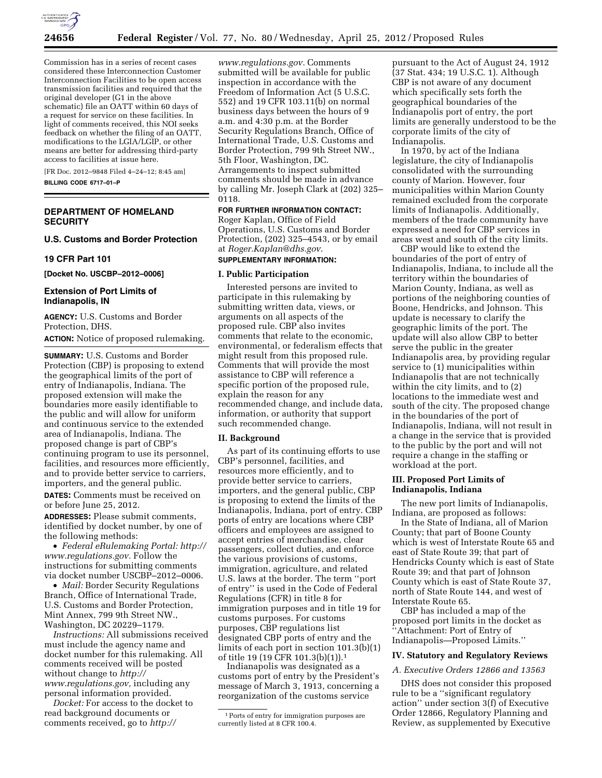

Commission has in a series of recent cases considered these Interconnection Customer Interconnection Facilities to be open access transmission facilities and required that the original developer (G1 in the above schematic) file an OATT within 60 days of a request for service on these facilities. In light of comments received, this NOI seeks feedback on whether the filing of an OATT, modifications to the LGIA/LGIP, or other means are better for addressing third-party access to facilities at issue here.

[FR Doc. 2012–9848 Filed 4–24–12; 8:45 am]

**BILLING CODE 6717–01–P** 

## **DEPARTMENT OF HOMELAND SECURITY**

# **U.S. Customs and Border Protection**

### **19 CFR Part 101**

**[Docket No. USCBP–2012–0006]** 

### **Extension of Port Limits of Indianapolis, IN**

**AGENCY:** U.S. Customs and Border Protection, DHS.

**ACTION:** Notice of proposed rulemaking.

**SUMMARY:** U.S. Customs and Border Protection (CBP) is proposing to extend the geographical limits of the port of entry of Indianapolis, Indiana. The proposed extension will make the boundaries more easily identifiable to the public and will allow for uniform and continuous service to the extended area of Indianapolis, Indiana. The proposed change is part of CBP's continuing program to use its personnel, facilities, and resources more efficiently, and to provide better service to carriers, importers, and the general public.

**DATES:** Comments must be received on or before June 25, 2012.

**ADDRESSES:** Please submit comments, identified by docket number, by one of the following methods:

• *Federal eRulemaking Portal: [http://](http://www.regulations.gov)  [www.regulations.gov.](http://www.regulations.gov)* Follow the instructions for submitting comments via docket number USCBP–2012–0006.

• *Mail:* Border Security Regulations Branch, Office of International Trade, U.S. Customs and Border Protection, Mint Annex, 799 9th Street NW., Washington, DC 20229–1179.

*Instructions:* All submissions received must include the agency name and docket number for this rulemaking. All comments received will be posted without change to *[http://](http://www.regulations.gov) [www.regulations.gov,](http://www.regulations.gov)* including any personal information provided.

*Docket:* For access to the docket to read background documents or comments received, go to *[http://](http://www.regulations.gov)* 

*[www.regulations.gov.](http://www.regulations.gov)* Comments submitted will be available for public inspection in accordance with the Freedom of Information Act (5 U.S.C. 552) and 19 CFR 103.11(b) on normal business days between the hours of 9 a.m. and 4:30 p.m. at the Border Security Regulations Branch, Office of International Trade, U.S. Customs and Border Protection, 799 9th Street NW., 5th Floor, Washington, DC. Arrangements to inspect submitted comments should be made in advance by calling Mr. Joseph Clark at (202) 325– 0118.

**FOR FURTHER INFORMATION CONTACT:**  Roger Kaplan, Office of Field Operations, U.S. Customs and Border Protection, (202) 325–4543, or by email at *[Roger.Kaplan@dhs.gov](mailto:Roger.Kaplan@dhs.gov)*. **SUPPLEMENTARY INFORMATION:** 

#### **I. Public Participation**

Interested persons are invited to participate in this rulemaking by submitting written data, views, or arguments on all aspects of the proposed rule. CBP also invites comments that relate to the economic, environmental, or federalism effects that might result from this proposed rule. Comments that will provide the most assistance to CBP will reference a specific portion of the proposed rule, explain the reason for any recommended change, and include data, information, or authority that support such recommended change.

### **II. Background**

As part of its continuing efforts to use CBP's personnel, facilities, and resources more efficiently, and to provide better service to carriers, importers, and the general public, CBP is proposing to extend the limits of the Indianapolis, Indiana, port of entry. CBP ports of entry are locations where CBP officers and employees are assigned to accept entries of merchandise, clear passengers, collect duties, and enforce the various provisions of customs, immigration, agriculture, and related U.S. laws at the border. The term ''port of entry'' is used in the Code of Federal Regulations (CFR) in title 8 for immigration purposes and in title 19 for customs purposes. For customs purposes, CBP regulations list designated CBP ports of entry and the limits of each port in section 101.3(b)(1) of title 19 (19 CFR 101.3(b)(1)).1

Indianapolis was designated as a customs port of entry by the President's message of March 3, 1913, concerning a reorganization of the customs service

pursuant to the Act of August 24, 1912 (37 Stat. 434; 19 U.S.C. 1). Although CBP is not aware of any document which specifically sets forth the geographical boundaries of the Indianapolis port of entry, the port limits are generally understood to be the corporate limits of the city of Indianapolis.

In 1970, by act of the Indiana legislature, the city of Indianapolis consolidated with the surrounding county of Marion. However, four municipalities within Marion County remained excluded from the corporate limits of Indianapolis. Additionally, members of the trade community have expressed a need for CBP services in areas west and south of the city limits.

CBP would like to extend the boundaries of the port of entry of Indianapolis, Indiana, to include all the territory within the boundaries of Marion County, Indiana, as well as portions of the neighboring counties of Boone, Hendricks, and Johnson. This update is necessary to clarify the geographic limits of the port. The update will also allow CBP to better serve the public in the greater Indianapolis area, by providing regular service to (1) municipalities within Indianapolis that are not technically within the city limits, and to (2) locations to the immediate west and south of the city. The proposed change in the boundaries of the port of Indianapolis, Indiana, will not result in a change in the service that is provided to the public by the port and will not require a change in the staffing or workload at the port.

## **III. Proposed Port Limits of Indianapolis, Indiana**

The new port limits of Indianapolis, Indiana, are proposed as follows:

In the State of Indiana, all of Marion County; that part of Boone County which is west of Interstate Route 65 and east of State Route 39; that part of Hendricks County which is east of State Route 39; and that part of Johnson County which is east of State Route 37, north of State Route 144, and west of Interstate Route 65.

CBP has included a map of the proposed port limits in the docket as ''Attachment: Port of Entry of Indianapolis—Proposed Limits.''

# **IV. Statutory and Regulatory Reviews**

### *A. Executive Orders 12866 and 13563*

DHS does not consider this proposed rule to be a ''significant regulatory action'' under section 3(f) of Executive Order 12866, Regulatory Planning and Review, as supplemented by Executive

<sup>1</sup>Ports of entry for immigration purposes are currently listed at 8 CFR 100.4.